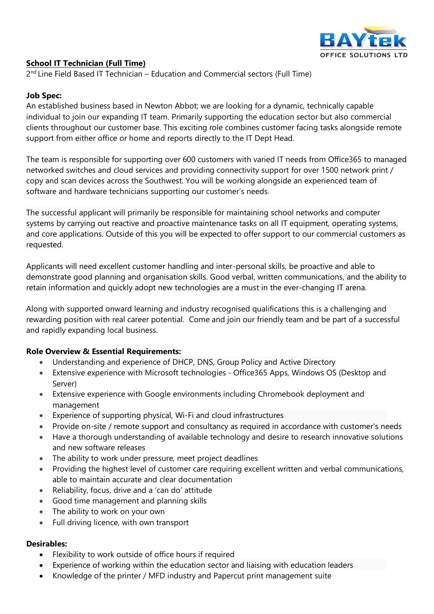

## **School IT Technician (Full Time)**

2<sup>nd</sup> Line Field Based IT Technician - Education and Commercial sectors (Full Time)

### **Job Spec:**

An established business based in Newton Abbot; we are looking for a dynamic, technically capable individual to join our expanding IT team. Primarily supporting the education sector but also commercial clients throughout our customer base. This exciting role combines customer facing tasks alongside remote support from either office or home and reports directly to the IT Dept Head.

The team is responsible for supporting over 600 customers with varied IT needs from Office365 to managed networked switches and cloud services and providing connectivity support for over 1500 network print / copy and scan devices across the Southwest. You will be working alongside an experienced team of software and hardware technicians supporting our customer's needs.

The successful applicant will primarily be responsible for maintaining school networks and computer systems by carrying out reactive and proactive maintenance tasks on all IT equipment, operating systems, and core applications. Outside of this you will be expected to offer support to our commercial customers as requested.

Applicants will need excellent customer handling and inter-personal skills, be proactive and able to demonstrate good planning and organisation skills. Good verbal, written communications, and the ability to retain information and quickly adopt new technologies are a must in the ever-changing IT arena.

Along with supported onward learning and industry recognised qualifications this is a challenging and rewarding position with real career potential. Come and join our friendly team and be part of a successful and rapidly expanding local business.

### **Role Overview & Essential Requirements:**

- Understanding and experience of DHCP, DNS, Group Policy and Active Directory
- Extensive experience with Microsoft technologies Office365 Apps, Windows OS (Desktop and Server)
- Extensive experience with Google environments including Chromebook deployment and management
- Experience of supporting physical, Wi-Fi and cloud infrastructures
- Provide on-site / remote support and consultancy as required in accordance with customer's needs
- Have a thorough understanding of available technology and desire to research innovative solutions and new software releases
- The ability to work under pressure, meet project deadlines
- Providing the highest level of customer care requiring excellent written and verbal communications, able to maintain accurate and clear documentation
- Reliability, focus, drive and a 'can do' attitude
- Good time management and planning skills
- The ability to work on your own
- Full driving licence, with own transport

### **Desirables:**

- Flexibility to work outside of office hours if required
- Experience of working within the education sector and liaising with education leaders
- Knowledge of the printer / MFD industry and Papercut print management suite